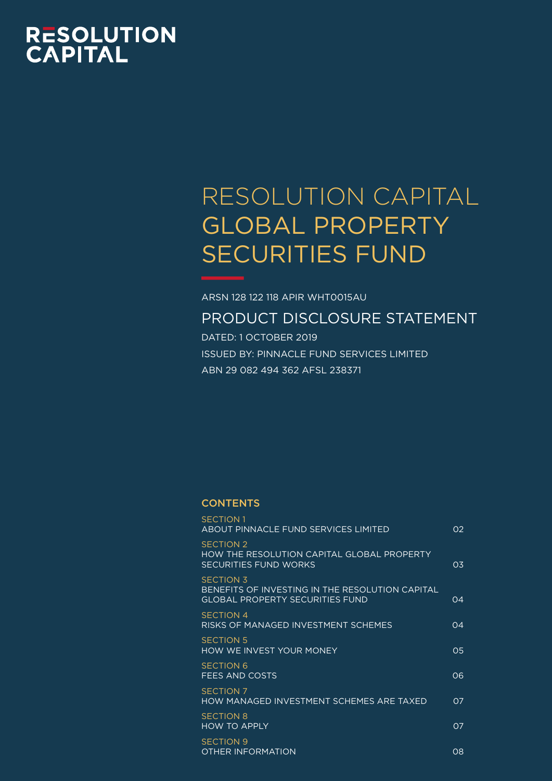# **RESOLUTION<br>CAPITAL**

# RESOLUTION CAPITAL GLOBAL PROPERTY SECURITIES FUND

ARSN 128 122 118 APIR WHT0015AU

PRODUCT DISCLOSURE STATEMENT

DATED: 1 OCTOBER 2019 ISSUED BY: PINNACLE FUND SERVICES LIMITED ABN 29 082 494 362 AFSL 238371

# **CONTENTS**

| <b>SECTION 1</b><br>ABOUT PINNACLE FUND SERVICES LIMITED                                                      | 02             |
|---------------------------------------------------------------------------------------------------------------|----------------|
| <b>SECTION 2</b><br>HOW THE RESOLUTION CAPITAL GLOBAL PROPERTY<br><b>SECURITIES FUND WORKS</b>                | 03.            |
| <b>SECTION 3</b><br>BENEFITS OF INVESTING IN THE RESOLUTION CAPITAL<br><b>GLOBAL PROPERTY SECURITIES FUND</b> | O(4)           |
| <b>SECTION 4</b><br><u>RISKS OF MANAGED INVESTMENT SCHEMES</u>                                                | O(4)           |
| <b>SECTION 5</b><br><b>HOW WE INVEST YOUR MONEY</b>                                                           | 05             |
| <b>SECTION 6</b><br>FEES AND COSTS                                                                            | 06             |
| <b>SECTION 7</b><br>HOW MANAGED INVESTMENT SCHEMES ARE TAXED                                                  | O <sub>7</sub> |
| <b>SECTION 8</b><br><b>HOW TO APPLY</b>                                                                       | O <sub>7</sub> |
| SECTION 9<br><b>OTHER INFORMATION</b>                                                                         | $\Omega$       |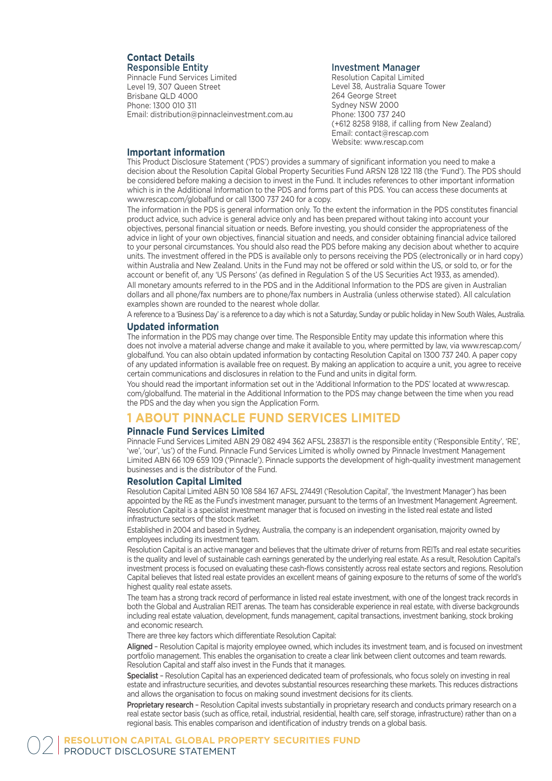#### **Contact Details** Responsible Entity

Pinnacle Fund Services Limited Level 19, 307 Queen Street Brisbane QLD 4000 Phone: 1300 010 311 Email: distribution@pinnacleinvestment.com.au

#### Investment Manager

Resolution Capital Limited Level 38, Australia Square Tower 264 George Street Sydney NSW 2000 Phone: 1300 737 240 (+612 8258 9188, if calling from New Zealand) Email: contact@rescap.com Website: www.rescap.com

#### **Important information**

This Product Disclosure Statement ('PDS') provides a summary of significant information you need to make a decision about the Resolution Capital Global Property Securities Fund ARSN 128 122 118 (the 'Fund'). The PDS should be considered before making a decision to invest in the Fund. It includes references to other important information which is in the Additional Information to the PDS and forms part of this PDS. You can access these documents at www.rescap.com/globalfund or call 1300 737 240 for a copy.

The information in the PDS is general information only. To the extent the information in the PDS constitutes financial product advice, such advice is general advice only and has been prepared without taking into account your objectives, personal financial situation or needs. Before investing, you should consider the appropriateness of the advice in light of your own objectives, financial situation and needs, and consider obtaining financial advice tailored to your personal circumstances. You should also read the PDS before making any decision about whether to acquire units. The investment offered in the PDS is available only to persons receiving the PDS (electronically or in hard copy) within Australia and New Zealand. Units in the Fund may not be offered or sold within the US, or sold to, or for the account or benefit of, any 'US Persons' (as defined in Regulation S of the US Securities Act 1933, as amended).

All monetary amounts referred to in the PDS and in the Additional Information to the PDS are given in Australian dollars and all phone/fax numbers are to phone/fax numbers in Australia (unless otherwise stated). All calculation examples shown are rounded to the nearest whole dollar.

A reference to a 'Business Day' is a reference to a day which is not a Saturday, Sunday or public holiday in New South Wales, Australia.

#### **Updated information**

The information in the PDS may change over time. The Responsible Entity may update this information where this does not involve a material adverse change and make it available to you, where permitted by law, via www.rescap.com/ globalfund. You can also obtain updated information by contacting Resolution Capital on 1300 737 240. A paper copy of any updated information is available free on request. By making an application to acquire a unit, you agree to receive certain communications and disclosures in relation to the Fund and units in digital form.

You should read the important information set out in the 'Additional Information to the PDS' located at www.rescap. com/globalfund. The material in the Additional Information to the PDS may change between the time when you read the PDS and the day when you sign the Application Form.

# **1 ABOUT PINNACLE FUND SERVICES LIMITED**

#### **Pinnacle Fund Services Limited**

Pinnacle Fund Services Limited ABN 29 082 494 362 AFSL 238371 is the responsible entity ('Responsible Entity', 'RE', 'we', 'our', 'us') of the Fund. Pinnacle Fund Services Limited is wholly owned by Pinnacle Investment Management Limited ABN 66 109 659 109 ('Pinnacle'). Pinnacle supports the development of high-quality investment management businesses and is the distributor of the Fund.

#### **Resolution Capital Limited**

Resolution Capital Limited ABN 50 108 584 167 AFSL 274491 ('Resolution Capital', 'the Investment Manager') has been appointed by the RE as the Fund's investment manager, pursuant to the terms of an Investment Management Agreement. Resolution Capital is a specialist investment manager that is focused on investing in the listed real estate and listed infrastructure sectors of the stock market.

Established in 2004 and based in Sydney, Australia, the company is an independent organisation, majority owned by employees including its investment team.

Resolution Capital is an active manager and believes that the ultimate driver of returns from REITs and real estate securities is the quality and level of sustainable cash earnings generated by the underlying real estate. As a result, Resolution Capital's investment process is focused on evaluating these cash-flows consistently across real estate sectors and regions. Resolution Capital believes that listed real estate provides an excellent means of gaining exposure to the returns of some of the world's highest quality real estate assets.

The team has a strong track record of performance in listed real estate investment, with one of the longest track records in both the Global and Australian REIT arenas. The team has considerable experience in real estate, with diverse backgrounds including real estate valuation, development, funds management, capital transactions, investment banking, stock broking and economic research.

There are three key factors which differentiate Resolution Capital:

Aligned – Resolution Capital is majority employee owned, which includes its investment team, and is focused on investment portfolio management. This enables the organisation to create a clear link between client outcomes and team rewards. Resolution Capital and staff also invest in the Funds that it manages.

Specialist – Resolution Capital has an experienced dedicated team of professionals, who focus solely on investing in real estate and infrastructure securities, and devotes substantial resources researching these markets. This reduces distractions and allows the organisation to focus on making sound investment decisions for its clients.

Proprietary research - Resolution Capital invests substantially in proprietary research and conducts primary research on a real estate sector basis (such as office, retail, industrial, residential, health care, self storage, infrastructure) rather than on a regional basis. This enables comparison and identification of industry trends on a global basis.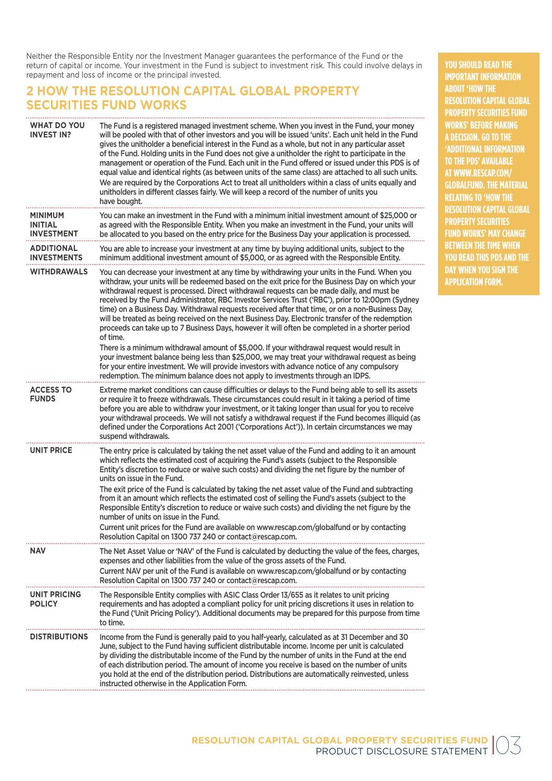Neither the Responsible Entity nor the Investment Manager guarantees the performance of the Fund or the return of capital or income. Your investment in the Fund is subject to investment risk. This could involve delays in repayment and loss of income or the principal invested.

# **2 HOW THE RESOLUTION CAPITAL GLOBAL PROPERTY SECURITIES FUND WORKS**

| WHAT DO YOU<br><b>INVEST IN?</b>               | The Fund is a registered managed investment scheme. When you invest in the Fund, your money<br>will be pooled with that of other investors and you will be issued 'units'. Each unit held in the Fund<br>gives the unitholder a beneficial interest in the Fund as a whole, but not in any particular asset<br>of the Fund. Holding units in the Fund does not give a unitholder the right to participate in the<br>management or operation of the Fund. Each unit in the Fund offered or issued under this PDS is of<br>equal value and identical rights (as between units of the same class) are attached to all such units.<br>We are required by the Corporations Act to treat all unitholders within a class of units equally and<br>unitholders in different classes fairly. We will keep a record of the number of units you<br>have bought.       |
|------------------------------------------------|-----------------------------------------------------------------------------------------------------------------------------------------------------------------------------------------------------------------------------------------------------------------------------------------------------------------------------------------------------------------------------------------------------------------------------------------------------------------------------------------------------------------------------------------------------------------------------------------------------------------------------------------------------------------------------------------------------------------------------------------------------------------------------------------------------------------------------------------------------------|
| MINIMUM<br><b>INITIAL</b><br><b>INVESTMENT</b> | You can make an investment in the Fund with a minimum initial investment amount of \$25,000 or<br>as agreed with the Responsible Entity. When you make an investment in the Fund, your units will<br>be allocated to you based on the entry price for the Business Day your application is processed.                                                                                                                                                                                                                                                                                                                                                                                                                                                                                                                                                     |
| <b>ADDITIONAL</b><br><b>INVESTMENTS</b>        | You are able to increase your investment at any time by buying additional units, subject to the<br>minimum additional investment amount of \$5,000, or as agreed with the Responsible Entity.                                                                                                                                                                                                                                                                                                                                                                                                                                                                                                                                                                                                                                                             |
| <b>WITHDRAWALS</b>                             | You can decrease your investment at any time by withdrawing your units in the Fund. When you<br>withdraw, your units will be redeemed based on the exit price for the Business Day on which your<br>withdrawal request is processed. Direct withdrawal requests can be made daily, and must be<br>received by the Fund Administrator, RBC Investor Services Trust ('RBC'), prior to 12:00pm (Sydney<br>time) on a Business Day. Withdrawal requests received after that time, or on a non-Business Day,<br>will be treated as being received on the next Business Day. Electronic transfer of the redemption<br>proceeds can take up to 7 Business Days, however it will often be completed in a shorter period<br>of time.                                                                                                                               |
|                                                | There is a minimum withdrawal amount of \$5,000. If your withdrawal request would result in<br>your investment balance being less than \$25,000, we may treat your withdrawal request as being<br>for your entire investment. We will provide investors with advance notice of any compulsory<br>redemption. The minimum balance does not apply to investments through an IDPS.                                                                                                                                                                                                                                                                                                                                                                                                                                                                           |
| <b>ACCESS TO</b><br><b>FUNDS</b>               | Extreme market conditions can cause difficulties or delays to the Fund being able to sell its assets<br>or require it to freeze withdrawals. These circumstances could result in it taking a period of time<br>before you are able to withdraw your investment, or it taking longer than usual for you to receive<br>your withdrawal proceeds. We will not satisfy a withdrawal request if the Fund becomes illiquid (as<br>defined under the Corporations Act 2001 ('Corporations Act')). In certain circumstances we may<br>suspend withdrawals.                                                                                                                                                                                                                                                                                                        |
| <b>UNIT PRICE</b>                              | The entry price is calculated by taking the net asset value of the Fund and adding to it an amount<br>which reflects the estimated cost of acquiring the Fund's assets (subject to the Responsible<br>Entity's discretion to reduce or waive such costs) and dividing the net figure by the number of<br>units on issue in the Fund.<br>The exit price of the Fund is calculated by taking the net asset value of the Fund and subtracting<br>from it an amount which reflects the estimated cost of selling the Fund's assets (subject to the<br>Responsible Entity's discretion to reduce or waive such costs) and dividing the net figure by the<br>number of units on issue in the Fund.<br>Current unit prices for the Fund are available on www.rescap.com/globalfund or by contacting<br>Resolution Capital on 1300 737 240 or contact@rescap.com. |
| <b>NAV</b>                                     | The Net Asset Value or 'NAV' of the Fund is calculated by deducting the value of the fees, charges,<br>expenses and other liabilities from the value of the gross assets of the Fund.<br>Current NAV per unit of the Fund is available on www.rescap.com/globalfund or by contacting<br>Resolution Capital on 1300 737 240 or contact@rescap.com.                                                                                                                                                                                                                                                                                                                                                                                                                                                                                                         |
| UNIT PRICING<br><b>POLICY</b>                  | The Responsible Entity complies with ASIC Class Order 13/655 as it relates to unit pricing<br>requirements and has adopted a compliant policy for unit pricing discretions it uses in relation to<br>the Fund ('Unit Pricing Policy'). Additional documents may be prepared for this purpose from time<br>to time.                                                                                                                                                                                                                                                                                                                                                                                                                                                                                                                                        |
| <b>DISTRIBUTIONS</b>                           | Income from the Fund is generally paid to you half-yearly, calculated as at 31 December and 30<br>June, subject to the Fund having sufficient distributable income. Income per unit is calculated<br>by dividing the distributable income of the Fund by the number of units in the Fund at the end<br>of each distribution period. The amount of income you receive is based on the number of units<br>you hold at the end of the distribution period. Distributions are automatically reinvested, unless<br>instructed otherwise in the Application Form.                                                                                                                                                                                                                                                                                               |

**YOU SHOULD READ THE IMPORTANT INFORMATION ABOUT 'HOW THE RESOLUTION CAPITAL GLOBAL PROPERTY SECURITIES FUND WORKS' BEFORE MAKING A DECISION. GO TO THE 'ADDITIONAL INFORMATION TO THE PDS' AVAILABLE AT WWW.RESCAP.COM/ GLOBALFUND. THE MATERIAL RELATING TO 'HOW THE RESOLUTION CAPITAL GLOBAL PROPERTY SECURITIES FUND WORKS' MAY CHANGE BETWEEN THE TIME WHEN YOU READ THIS PDS AND THE DAY WHEN YOU SIGN THE APPLICATION FORM.**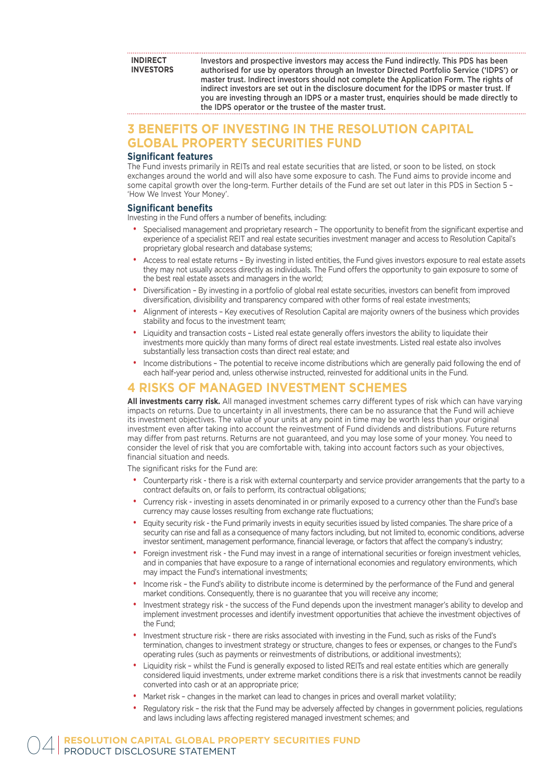**INDIRECT INVESTORS** Investors and prospective investors may access the Fund indirectly. This PDS has been authorised for use by operators through an Investor Directed Portfolio Service ('IDPS') or master trust. Indirect investors should not complete the Application Form. The rights of indirect investors are set out in the disclosure document for the IDPS or master trust. If you are investing through an IDPS or a master trust, enquiries should be made directly to the IDPS operator or the trustee of the master trust.

# **3 BENEFITS OF INVESTING IN THE RESOLUTION CAPITAL GLOBAL PROPERTY SECURITIES FUND**

#### **Significant features**

The Fund invests primarily in REITs and real estate securities that are listed, or soon to be listed, on stock exchanges around the world and will also have some exposure to cash. The Fund aims to provide income and some capital growth over the long-term. Further details of the Fund are set out later in this PDS in Section 5 – 'How We Invest Your Money'.

#### **Significant benefits**

Investing in the Fund offers a number of benefits, including:

- Specialised management and proprietary research The opportunity to benefit from the significant expertise and experience of a specialist REIT and real estate securities investment manager and access to Resolution Capital's proprietary global research and database systems;
- Access to real estate returns By investing in listed entities, the Fund gives investors exposure to real estate assets they may not usually access directly as individuals. The Fund offers the opportunity to gain exposure to some of the best real estate assets and managers in the world;
- Diversification By investing in a portfolio of global real estate securities, investors can benefit from improved diversification, divisibility and transparency compared with other forms of real estate investments;
- Alignment of interests Key executives of Resolution Capital are majority owners of the business which provides stability and focus to the investment team;
- Liquidity and transaction costs Listed real estate generally offers investors the ability to liquidate their investments more quickly than many forms of direct real estate investments. Listed real estate also involves substantially less transaction costs than direct real estate; and
- Income distributions The potential to receive income distributions which are generally paid following the end of each half-year period and, unless otherwise instructed, reinvested for additional units in the Fund.

## **4 RISKS OF MANAGED INVESTMENT SCHEMES**

**All investments carry risk.** All managed investment schemes carry different types of risk which can have varying impacts on returns. Due to uncertainty in all investments, there can be no assurance that the Fund will achieve its investment objectives. The value of your units at any point in time may be worth less than your original investment even after taking into account the reinvestment of Fund dividends and distributions. Future returns may differ from past returns. Returns are not guaranteed, and you may lose some of your money. You need to consider the level of risk that you are comfortable with, taking into account factors such as your objectives, financial situation and needs.

The significant risks for the Fund are:

- Counterparty risk there is a risk with external counterparty and service provider arrangements that the party to a contract defaults on, or fails to perform, its contractual obligations;
- Currency risk investing in assets denominated in or primarily exposed to a currency other than the Fund's base currency may cause losses resulting from exchange rate fluctuations;
- Equity security risk the Fund primarily invests in equity securities issued by listed companies. The share price of a security can rise and fall as a consequence of many factors including, but not limited to, economic conditions, adverse investor sentiment, management performance, financial leverage, or factors that affect the company's industry;
- Foreign investment risk the Fund may invest in a range of international securities or foreign investment vehicles, and in companies that have exposure to a range of international economies and regulatory environments, which may impact the Fund's international investments;
- Income risk the Fund's ability to distribute income is determined by the performance of the Fund and general market conditions. Consequently, there is no guarantee that you will receive any income;
- Investment strategy risk the success of the Fund depends upon the investment manager's ability to develop and implement investment processes and identify investment opportunities that achieve the investment objectives of the Fund;
- Investment structure risk there are risks associated with investing in the Fund, such as risks of the Fund's termination, changes to investment strategy or structure, changes to fees or expenses, or changes to the Fund's operating rules (such as payments or reinvestments of distributions, or additional investments);
- Liquidity risk whilst the Fund is generally exposed to listed REITs and real estate entities which are generally considered liquid investments, under extreme market conditions there is a risk that investments cannot be readily converted into cash or at an appropriate price;
- Market risk changes in the market can lead to changes in prices and overall market volatility;
- Regulatory risk the risk that the Fund may be adversely affected by changes in government policies, regulations and laws including laws affecting registered managed investment schemes; and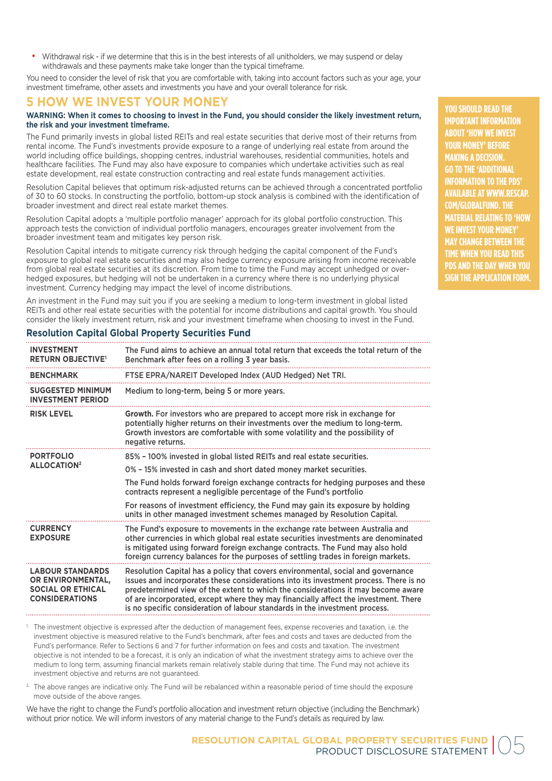• Withdrawal risk - if we determine that this is in the best interests of all unitholders, we may suspend or delay withdrawals and these payments make take longer than the typical timeframe.

You need to consider the level of risk that you are comfortable with, taking into account factors such as your age, your investment timeframe, other assets and investments you have and your overall tolerance for risk.

# **5 HOW WE INVEST YOUR MONEY**

#### **WARNING: When it comes to choosing to invest in the Fund, you should consider the likely investment return, the risk and your investment timeframe.**

The Fund primarily invests in global listed REITs and real estate securities that derive most of their returns from rental income. The Fund's investments provide exposure to a range of underlying real estate from around the world including office buildings, shopping centres, industrial warehouses, residential communities, hotels and healthcare facilities. The Fund may also have exposure to companies which undertake activities such as real estate development, real estate construction contracting and real estate funds management activities.

Resolution Capital believes that optimum risk-adjusted returns can be achieved through a concentrated portfolio of 30 to 60 stocks. In constructing the portfolio, bottom-up stock analysis is combined with the identification of broader investment and direct real estate market themes.

Resolution Capital adopts a 'multiple portfolio manager' approach for its global portfolio construction. This approach tests the conviction of individual portfolio managers, encourages greater involvement from the broader investment team and mitigates key person risk.

Resolution Capital intends to mitigate currency risk through hedging the capital component of the Fund's exposure to global real estate securities and may also hedge currency exposure arising from income receivable from global real estate securities at its discretion. From time to time the Fund may accept unhedged or overhedged exposures, but hedging will not be undertaken in a currency where there is no underlying physical investment. Currency hedging may impact the level of income distributions.

An investment in the Fund may suit you if you are seeking a medium to long-term investment in global listed REITs and other real estate securities with the potential for income distributions and capital growth. You should consider the likely investment return, risk and your investment timeframe when choosing to invest in the Fund.

| <b>INVESTMENT</b><br><b>RETURN OBJECTIVE'</b>                                                     | The Fund aims to achieve an annual total return that exceeds the total return of the<br>Benchmark after fees on a rolling 3 year basis.                                                                                                                                                                                                                                                                                             |
|---------------------------------------------------------------------------------------------------|-------------------------------------------------------------------------------------------------------------------------------------------------------------------------------------------------------------------------------------------------------------------------------------------------------------------------------------------------------------------------------------------------------------------------------------|
| <b>BENCHMARK</b>                                                                                  | FTSE EPRA/NAREIT Developed Index (AUD Hedged) Net TRI.                                                                                                                                                                                                                                                                                                                                                                              |
| <b>SUGGESTED MINIMUM</b><br><b>INVESTMENT PERIOD</b>                                              | Medium to long-term, being 5 or more years.                                                                                                                                                                                                                                                                                                                                                                                         |
| <b>RISK LEVEL</b>                                                                                 | Growth. For investors who are prepared to accept more risk in exchange for<br>potentially higher returns on their investments over the medium to long-term.<br>Growth investors are comfortable with some volatility and the possibility of<br>negative returns.                                                                                                                                                                    |
| <b>PORTFOLIO</b>                                                                                  | 85% - 100% invested in global listed REITs and real estate securities.                                                                                                                                                                                                                                                                                                                                                              |
| <b>ALLOCATION<sup>2</sup></b>                                                                     | 0% - 15% invested in cash and short dated money market securities.                                                                                                                                                                                                                                                                                                                                                                  |
|                                                                                                   | The Fund holds forward foreign exchange contracts for hedging purposes and these<br>contracts represent a negligible percentage of the Fund's portfolio                                                                                                                                                                                                                                                                             |
|                                                                                                   | For reasons of investment efficiency, the Fund may gain its exposure by holding<br>units in other managed investment schemes managed by Resolution Capital.                                                                                                                                                                                                                                                                         |
| <b>CURRENCY</b><br><b>EXPOSURE</b>                                                                | The Fund's exposure to movements in the exchange rate between Australia and<br>other currencies in which global real estate securities investments are denominated<br>is mitigated using forward foreign exchange contracts. The Fund may also hold<br>foreign currency balances for the purposes of settling trades in foreign markets.                                                                                            |
| <b>LABOUR STANDARDS</b><br>OR ENVIRONMENTAL,<br><b>SOCIAL OR ETHICAL</b><br><b>CONSIDERATIONS</b> | Resolution Capital has a policy that covers environmental, social and governance<br>issues and incorporates these considerations into its investment process. There is no<br>predetermined view of the extent to which the considerations it may become aware<br>of are incorporated, except where they may financially affect the investment. There<br>is no specific consideration of labour standards in the investment process. |

#### **Resolution Capital Global Property Securities Fund**

<sup>1</sup> The investment objective is expressed after the deduction of management fees, expense recoveries and taxation, i.e. the investment objective is measured relative to the Fund's benchmark, after fees and costs and taxes are deducted from the Fund's performance. Refer to Sections 6 and 7 for further information on fees and costs and taxation. The investment objective is not intended to be a forecast, it is only an indication of what the investment strategy aims to achieve over the medium to long term, assuming financial markets remain relatively stable during that time. The Fund may not achieve its investment objective and returns are not guaranteed.

<sup>2</sup>. The above ranges are indicative only. The Fund will be rebalanced within a reasonable period of time should the exposure move outside of the above ranges.

We have the right to change the Fund's portfolio allocation and investment return objective (including the Benchmark) without prior notice. We will inform investors of any material change to the Fund's details as required by law.

**YOU SHOULD READ THE IMPORTANT INFORMATION ABOUT 'HOW WE INVEST YOUR MONEY' BEFORE MAKING A DECISION. GO TO THE 'ADDITIONAL INFORMATION TO THE PDS' AVAILABLE AT WWW.RESCAP. COM/GLOBALFUND. THE MATERIAL RELATING TO 'HOW WE INVEST YOUR MONEY' MAY CHANGE BETWEEN THE TIME WHEN YOU READ THIS PDS AND THE DAY WHEN YOU SIGN THE APPLICATION FORM.**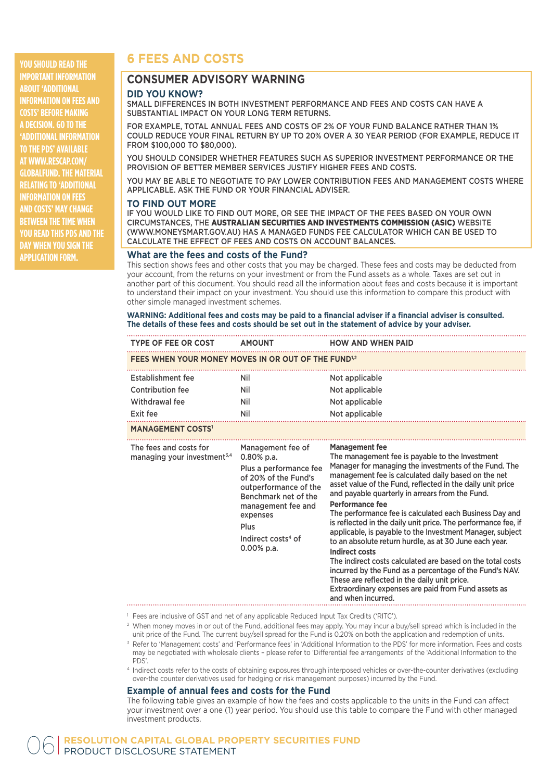**YOU SHOULD READ THE IMPORTANT INFORMATION ABOUT 'ADDITIONAL INFORMATION ON FEES AND COSTS' BEFORE MAKING A DECISION. GO TO THE 'ADDITIONAL INFORMATION TO THE PDS' AVAILABLE AT WWW.RESCAP.COM/ GLOBALFUND. THE MATERIAL RELATING TO 'ADDITIONAL INFORMATION ON FEES AND COSTS' MAY CHANGE BETWEEN THE TIME WHEN YOU READ THIS PDS AND THE DAY WHEN YOU SIGN THE APPLICATION FORM.**

# **6 FEES AND COSTS**

# **CONSUMER ADVISORY WARNING**

#### **DID YOU KNOW?**

SMALL DIFFERENCES IN BOTH INVESTMENT PERFORMANCE AND FEES AND COSTS CAN HAVE A SUBSTANTIAL IMPACT ON YOUR LONG TERM RETURNS.

FOR EXAMPLE, TOTAL ANNUAL FEES AND COSTS OF 2% OF YOUR FUND BALANCE RATHER THAN 1% COULD REDUCE YOUR FINAL RETURN BY UP TO 20% OVER A 30 YEAR PERIOD (FOR EXAMPLE, REDUCE IT FROM \$100,000 TO \$80,000).

YOU SHOULD CONSIDER WHETHER FEATURES SUCH AS SUPERIOR INVESTMENT PERFORMANCE OR THE PROVISION OF BETTER MEMBER SERVICES JUSTIFY HIGHER FEES AND COSTS.

YOU MAY BE ABLE TO NEGOTIATE TO PAY LOWER CONTRIBUTION FEES AND MANAGEMENT COSTS WHERE APPLICABLE. ASK THE FUND OR YOUR FINANCIAL ADVISER.

#### **TO FIND OUT MORE**

IF YOU WOULD LIKE TO FIND OUT MORE, OR SEE THE IMPACT OF THE FEES BASED ON YOUR OWN CIRCUMSTANCES, THE AUSTRALIAN SECURITIES AND INVESTMENTS COMMISSION (ASIC) WEBSITE (WWW.MONEYSMART.GOV.AU) HAS A MANAGED FUNDS FEE CALCULATOR WHICH CAN BE USED TO CALCULATE THE EFFECT OF FEES AND COSTS ON ACCOUNT BALANCES.

#### **What are the fees and costs of the Fund?**

This section shows fees and other costs that you may be charged. These fees and costs may be deducted from your account, from the returns on your investment or from the Fund assets as a whole. Taxes are set out in another part of this document. You should read all the information about fees and costs because it is important to understand their impact on your investment. You should use this information to compare this product with other simple managed investment schemes.

#### WARNING: Additional fees and costs may be paid to a financial adviser if a financial adviser is consulted. **The details of these fees and costs should be set out in the statement of advice by your adviser.**

| TYPE OF FEE OR COST AMOUNT                                          |                                                                                                                                                                                                                                    | <b>HOW AND WHEN PAID</b>                                                                                                                                                                                                                                                                                                                                                                                                                                                                                                                                                                                                                                                                                                                                                                                                                                              |
|---------------------------------------------------------------------|------------------------------------------------------------------------------------------------------------------------------------------------------------------------------------------------------------------------------------|-----------------------------------------------------------------------------------------------------------------------------------------------------------------------------------------------------------------------------------------------------------------------------------------------------------------------------------------------------------------------------------------------------------------------------------------------------------------------------------------------------------------------------------------------------------------------------------------------------------------------------------------------------------------------------------------------------------------------------------------------------------------------------------------------------------------------------------------------------------------------|
| FEES WHEN YOUR MONEY MOVES IN OR OUT OF THE FUND <sup>1,2</sup>     |                                                                                                                                                                                                                                    |                                                                                                                                                                                                                                                                                                                                                                                                                                                                                                                                                                                                                                                                                                                                                                                                                                                                       |
| Establishment fee<br>Contribution fee<br>Withdrawal fee<br>Exit fee | Nil<br>Nil<br>Nil<br>Nil                                                                                                                                                                                                           | Not applicable<br>Not applicable<br>Not applicable<br>Not applicable                                                                                                                                                                                                                                                                                                                                                                                                                                                                                                                                                                                                                                                                                                                                                                                                  |
| <b>MANAGEMENT COSTS1</b>                                            |                                                                                                                                                                                                                                    |                                                                                                                                                                                                                                                                                                                                                                                                                                                                                                                                                                                                                                                                                                                                                                                                                                                                       |
| The fees and costs for<br>managing your investment $3,4$            | Management fee of<br>$0.80\%$ p.a.<br>Plus a performance fee<br>of 20% of the Fund's<br>outperformance of the<br>Benchmark net of the<br>management fee and<br>expenses<br>Plus<br>Indirect costs <sup>4</sup> of<br>$0.00\%$ p.a. | <b>Management fee</b><br>The management fee is payable to the Investment<br>Manager for managing the investments of the Fund. The<br>management fee is calculated daily based on the net<br>asset value of the Fund, reflected in the daily unit price<br>and payable quarterly in arrears from the Fund.<br><b>Performance fee</b><br>The performance fee is calculated each Business Day and<br>is reflected in the daily unit price. The performance fee, if<br>applicable, is payable to the Investment Manager, subject<br>to an absolute return hurdle, as at 30 June each year.<br><b>Indirect costs</b><br>The indirect costs calculated are based on the total costs<br>incurred by the Fund as a percentage of the Fund's NAV.<br>These are reflected in the daily unit price.<br>Extraordinary expenses are paid from Fund assets as<br>and when incurred. |

<sup>1</sup> Fees are inclusive of GST and net of any applicable Reduced Input Tax Credits ('RITC').

<sup>2</sup> When money moves in or out of the Fund, additional fees may apply. You may incur a buy/sell spread which is included in the unit price of the Fund. The current buy/sell spread for the Fund is 0.20% on both the application and redemption of units.

<sup>3</sup> Refer to 'Management costs' and 'Performance fees' in 'Additional Information to the PDS' for more information. Fees and costs may be negotiated with wholesale clients – please refer to 'Differential fee arrangements' of the 'Additional Information to the PDS'.

4 Indirect costs refer to the costs of obtaining exposures through interposed vehicles or over-the-counter derivatives (excluding over-the counter derivatives used for hedging or risk management purposes) incurred by the Fund.

#### **Example of annual fees and costs for the Fund**

The following table gives an example of how the fees and costs applicable to the units in the Fund can affect your investment over a one (1) year period. You should use this table to compare the Fund with other managed investment products.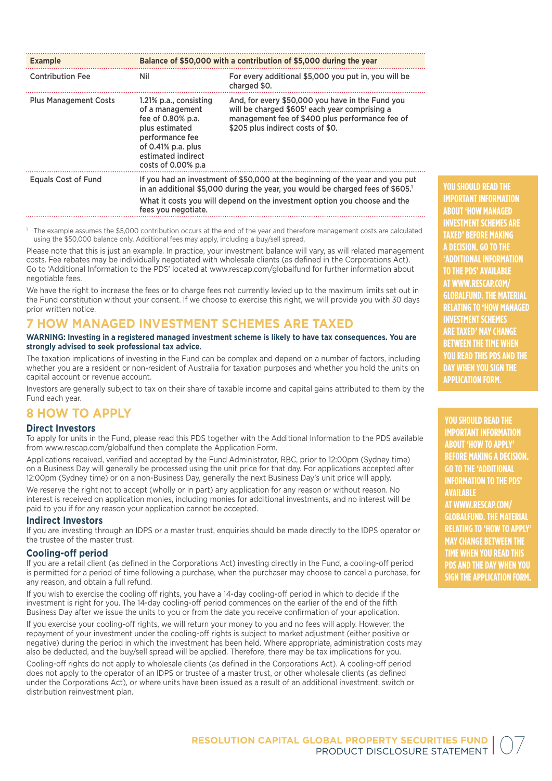| <b>Example</b>               | Balance of \$50,000 with a contribution of \$5,000 during the year                                                                                                                                                                                                 |                                                                                                                                                                                                       |  |
|------------------------------|--------------------------------------------------------------------------------------------------------------------------------------------------------------------------------------------------------------------------------------------------------------------|-------------------------------------------------------------------------------------------------------------------------------------------------------------------------------------------------------|--|
| <b>Contribution Fee</b>      | Nil.                                                                                                                                                                                                                                                               | For every additional \$5,000 you put in, you will be<br>charged \$0.                                                                                                                                  |  |
| <b>Plus Management Costs</b> | 1.21% p.a., consisting<br>of a management<br>fee of 0.80% p.a.<br>plus estimated<br>performance fee<br>of $0.41\%$ p.a. plus<br>estimated indirect<br>costs of 0.00% p.a                                                                                           | And, for every \$50,000 you have in the Fund you<br>will be charged \$605 <sup>1</sup> each year comprising a<br>management fee of \$400 plus performance fee of<br>\$205 plus indirect costs of \$0. |  |
| <b>Equals Cost of Fund</b>   | If you had an investment of \$50,000 at the beginning of the year and you put<br>in an additional \$5,000 during the year, you would be charged fees of \$605.<br>What it costs you will depend on the investment option you choose and the<br>fees you negotiate. |                                                                                                                                                                                                       |  |

 The example assumes the \$5,000 contribution occurs at the end of the year and therefore management costs are calculated using the \$50,000 balance only. Additional fees may apply, including a buy/sell spread.

Please note that this is just an example. In practice, your investment balance will vary, as will related management costs. Fee rebates may be individually negotiated with wholesale clients (as defined in the Corporations Act). Go to 'Additional Information to the PDS' located at www.rescap.com/globalfund for further information about negotiable fees.

We have the right to increase the fees or to charge fees not currently levied up to the maximum limits set out in the Fund constitution without your consent. If we choose to exercise this right, we will provide you with 30 days prior written notice.

# **7 HOW MANAGED INVESTMENT SCHEMES ARE TAXED**

#### **WARNING: Investing in a registered managed investment scheme is likely to have tax consequences. You are strongly advised to seek professional tax advice.**

The taxation implications of investing in the Fund can be complex and depend on a number of factors, including whether you are a resident or non-resident of Australia for taxation purposes and whether you hold the units on capital account or revenue account.

Investors are generally subject to tax on their share of taxable income and capital gains attributed to them by the Fund each year.

# **8 HOW TO APPLY**

#### **Direct Investors**

To apply for units in the Fund, please read this PDS together with the Additional Information to the PDS available from www.rescap.com/globalfund then complete the Application Form.

Applications received, verified and accepted by the Fund Administrator, RBC, prior to 12:00pm (Sydney time) on a Business Day will generally be processed using the unit price for that day. For applications accepted after 12:00pm (Sydney time) or on a non-Business Day, generally the next Business Day's unit price will apply.

We reserve the right not to accept (wholly or in part) any application for any reason or without reason. No interest is received on application monies, including monies for additional investments, and no interest will be paid to you if for any reason your application cannot be accepted.

#### **Indirect Investors**

If you are investing through an IDPS or a master trust, enquiries should be made directly to the IDPS operator or the trustee of the master trust.

#### **Cooling-off period**

If you are a retail client (as defined in the Corporations Act) investing directly in the Fund, a cooling-off period is permitted for a period of time following a purchase, when the purchaser may choose to cancel a purchase, for any reason, and obtain a full refund.

If you wish to exercise the cooling off rights, you have a 14-day cooling-off period in which to decide if the investment is right for you. The 14-day cooling-off period commences on the earlier of the end of the fifth Business Day after we issue the units to you or from the date you receive confirmation of your application.

If you exercise your cooling-off rights, we will return your money to you and no fees will apply. However, the repayment of your investment under the cooling-off rights is subject to market adjustment (either positive or negative) during the period in which the investment has been held. Where appropriate, administration costs may also be deducted, and the buy/sell spread will be applied. Therefore, there may be tax implications for you.

Cooling-off rights do not apply to wholesale clients (as defined in the Corporations Act). A cooling-off period does not apply to the operator of an IDPS or trustee of a master trust, or other wholesale clients (as defined under the Corporations Act), or where units have been issued as a result of an additional investment, switch or distribution reinvestment plan.

**YOU SHOULD READ THE IMPORTANT INFORMATION ABOUT 'HOW MANAGED INVESTMENT SCHEMES ARE TAXED' BEFORE MAKING A DECISION. GO TO THE 'ADDITIONAL INFORMATION TO THE PDS' AVAILABLE AT WWW.RESCAP.COM/ GLOBALFUND. THE MATERIAL RELATING TO 'HOW MANAGED INVESTMENT SCHEMES ARE TAXED' MAY CHANGE BETWEEN THE TIME WHEN YOU READ THIS PDS AND THE DAY WHEN YOU SIGN THE APPLICATION FORM.**

**YOU SHOULD READ THE** 

**IMPORTANT INFORMATION ABOUT 'HOW TO APPLY' BEFORE MAKING A DECISION. GO TO THE 'ADDITIONAL INFORMATION TO THE PDS' AVAILABLE AT WWW.RESCAP.COM/ GLOBALFUND. THE MATERIAL RELATING TO 'HOW TO APPLY' MAY CHANGE BETWEEN THE TIME WHEN YOU READ THIS PDS AND THE DAY WHEN YOU SIGN THE APPLICATION FORM.**